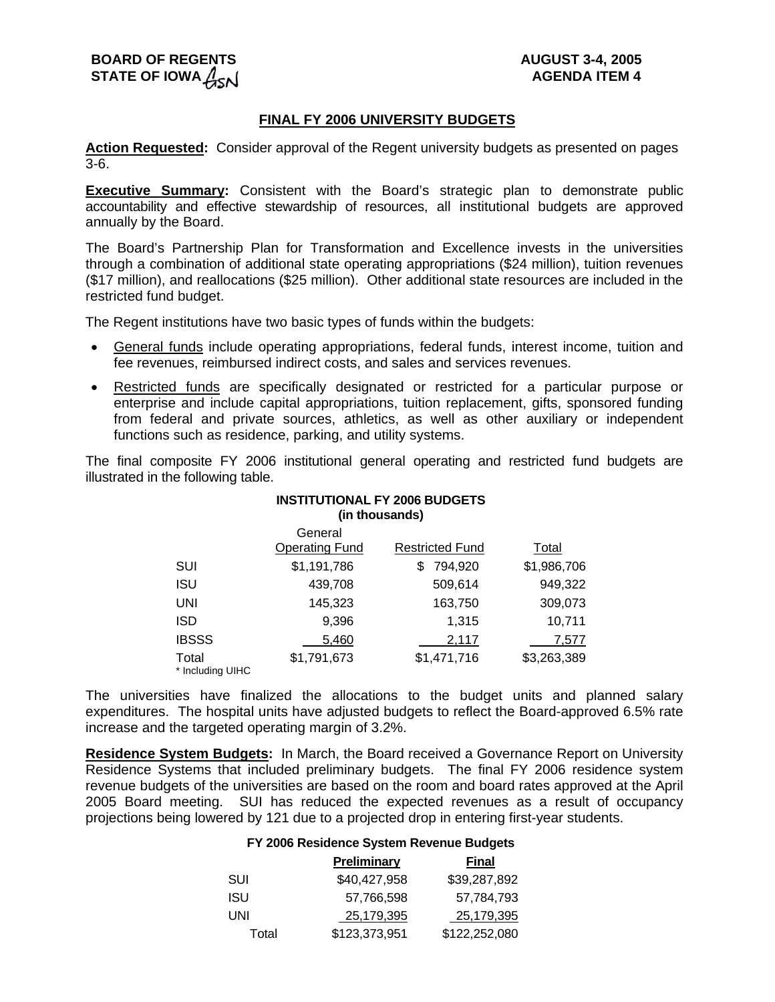# **BOARD OF REGENTS AUGUST 3-4, 2005** STATE OF IOWA  $A_{\infty}$

## **FINAL FY 2006 UNIVERSITY BUDGETS**

**Action Requested:** Consider approval of the Regent university budgets as presented on pages 3-6.

**Executive Summary:** Consistent with the Board's strategic plan to demonstrate public accountability and effective stewardship of resources, all institutional budgets are approved annually by the Board.

The Board's Partnership Plan for Transformation and Excellence invests in the universities through a combination of additional state operating appropriations (\$24 million), tuition revenues (\$17 million), and reallocations (\$25 million). Other additional state resources are included in the restricted fund budget.

The Regent institutions have two basic types of funds within the budgets:

- General funds include operating appropriations, federal funds, interest income, tuition and fee revenues, reimbursed indirect costs, and sales and services revenues.
- Restricted funds are specifically designated or restricted for a particular purpose or enterprise and include capital appropriations, tuition replacement, gifts, sponsored funding from federal and private sources, athletics, as well as other auxiliary or independent functions such as residence, parking, and utility systems.

The final composite FY 2006 institutional general operating and restricted fund budgets are illustrated in the following table.

## **INSTITUTIONAL FY 2006 BUDGETS (in thousands)** General

|                           | <u>uunu u</u><br><b>Operating Fund</b> | <b>Restricted Fund</b> | Total       |
|---------------------------|----------------------------------------|------------------------|-------------|
| SUI                       | \$1,191,786                            | 794,920                | \$1,986,706 |
| <b>ISU</b>                | 439,708                                | 509,614                | 949,322     |
| UNI                       | 145,323                                | 163,750                | 309,073     |
| <b>ISD</b>                | 9,396                                  | 1.315                  | 10,711      |
| <b>IBSSS</b>              | 5,460                                  | 2,117                  | 7.577       |
| Total<br>* Including UIHC | \$1,791,673                            | \$1,471,716            | \$3,263,389 |

The universities have finalized the allocations to the budget units and planned salary expenditures. The hospital units have adjusted budgets to reflect the Board-approved 6.5% rate increase and the targeted operating margin of 3.2%.

**Residence System Budgets:** In March, the Board received a Governance Report on University Residence Systems that included preliminary budgets. The final FY 2006 residence system revenue budgets of the universities are based on the room and board rates approved at the April 2005 Board meeting. SUI has reduced the expected revenues as a result of occupancy projections being lowered by 121 due to a projected drop in entering first-year students.

# **FY 2006 Residence System Revenue Budgets**

|       | <b>Preliminary</b> | <b>Final</b>  |
|-------|--------------------|---------------|
| SUI   | \$40,427,958       | \$39,287,892  |
| ISU   | 57,766,598         | 57.784.793    |
| UNI   | 25,179,395         | 25,179,395    |
| Total | \$123,373,951      | \$122,252,080 |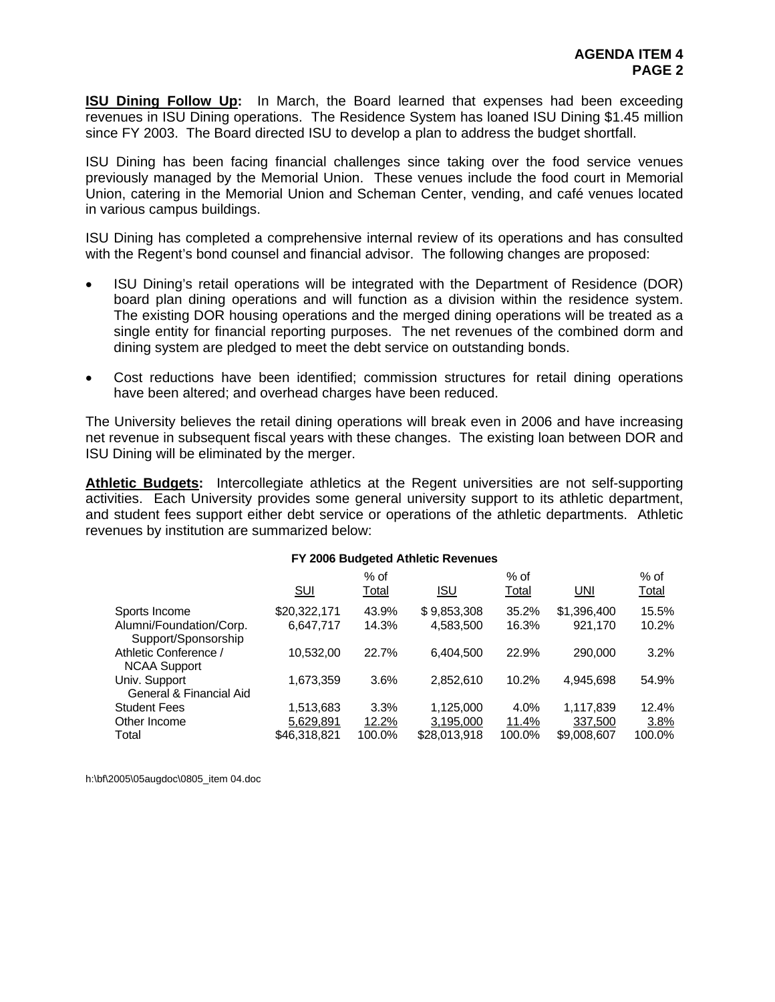**ISU Dining Follow Up:** In March, the Board learned that expenses had been exceeding revenues in ISU Dining operations. The Residence System has loaned ISU Dining \$1.45 million since FY 2003. The Board directed ISU to develop a plan to address the budget shortfall.

ISU Dining has been facing financial challenges since taking over the food service venues previously managed by the Memorial Union. These venues include the food court in Memorial Union, catering in the Memorial Union and Scheman Center, vending, and café venues located in various campus buildings.

ISU Dining has completed a comprehensive internal review of its operations and has consulted with the Regent's bond counsel and financial advisor. The following changes are proposed:

- ISU Dining's retail operations will be integrated with the Department of Residence (DOR) board plan dining operations and will function as a division within the residence system. The existing DOR housing operations and the merged dining operations will be treated as a single entity for financial reporting purposes. The net revenues of the combined dorm and dining system are pledged to meet the debt service on outstanding bonds.
- Cost reductions have been identified; commission structures for retail dining operations have been altered; and overhead charges have been reduced.

The University believes the retail dining operations will break even in 2006 and have increasing net revenue in subsequent fiscal years with these changes. The existing loan between DOR and ISU Dining will be eliminated by the merger.

**Athletic Budgets:** Intercollegiate athletics at the Regent universities are not self-supporting activities. Each University provides some general university support to its athletic department, and student fees support either debt service or operations of the athletic departments. Athletic revenues by institution are summarized below:

|                                                |              |                      | <b>FT 2006 BUDGETED Athletic Revenues</b> |                      |             |                      |
|------------------------------------------------|--------------|----------------------|-------------------------------------------|----------------------|-------------|----------------------|
|                                                | <u>SUI</u>   | % of<br><u>Total</u> | <u>ISU</u>                                | % of<br><b>Total</b> | <u>UNI</u>  | % of<br><b>Total</b> |
| Sports Income                                  | \$20,322,171 | 43.9%                | \$9,853,308                               | 35.2%                | \$1,396,400 | 15.5%                |
| Alumni/Foundation/Corp.<br>Support/Sponsorship | 6,647,717    | 14.3%                | 4,583,500                                 | 16.3%                | 921,170     | 10.2%                |
| Athletic Conference /<br><b>NCAA Support</b>   | 10,532,00    | 22.7%                | 6,404,500                                 | 22.9%                | 290,000     | 3.2%                 |
| Univ. Support<br>General & Financial Aid       | 1,673,359    | 3.6%                 | 2,852,610                                 | 10.2%                | 4,945,698   | 54.9%                |
| <b>Student Fees</b>                            | 1,513,683    | 3.3%                 | 1,125,000                                 | 4.0%                 | 1,117,839   | 12.4%                |
| Other Income                                   | 5,629,891    | 12.2%                | 3,195,000                                 | 11.4%                | 337,500     | 3.8%                 |
| Total                                          | \$46,318,821 | 100.0%               | \$28.013.918                              | 100.0%               | \$9,008,607 | 100.0%               |

# **FY 2006 Budgeted Athletic Revenues**

h:\bf\2005\05augdoc\0805\_item 04.doc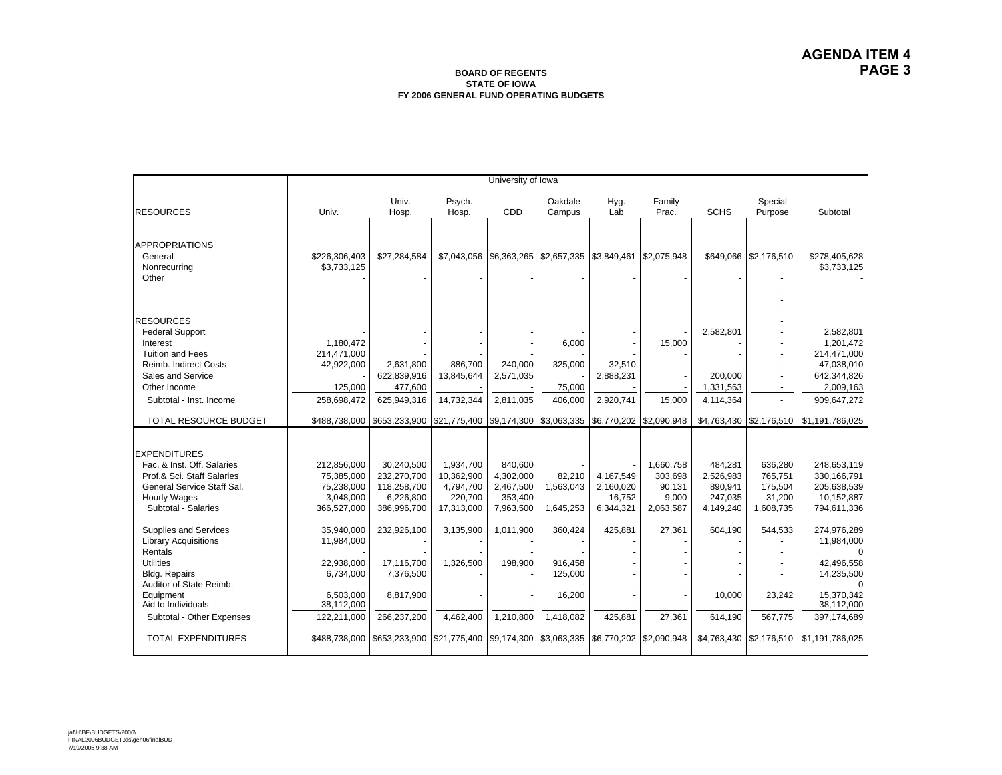#### **BOARD OF REGENTS STATE OF IOWAFY 2006 GENERAL FUND OPERATING BUDGETS**

|                                                                                                                                                                           | University of Iowa                                                             |                                                                            |                                                               |                                                           |                                                     |                                                    |                                                      |                                                         |                                                      |                                                                                   |
|---------------------------------------------------------------------------------------------------------------------------------------------------------------------------|--------------------------------------------------------------------------------|----------------------------------------------------------------------------|---------------------------------------------------------------|-----------------------------------------------------------|-----------------------------------------------------|----------------------------------------------------|------------------------------------------------------|---------------------------------------------------------|------------------------------------------------------|-----------------------------------------------------------------------------------|
| <b>RESOURCES</b>                                                                                                                                                          | Univ.                                                                          | Univ.<br>Hosp.                                                             | Psych.<br>Hosp.                                               | CDD                                                       | Oakdale<br>Campus                                   | Hyg.<br>Lab                                        | Family<br>Prac.                                      | <b>SCHS</b>                                             | Special<br>Purpose                                   | Subtotal                                                                          |
|                                                                                                                                                                           |                                                                                |                                                                            |                                                               |                                                           |                                                     |                                                    |                                                      |                                                         |                                                      |                                                                                   |
| <b>APPROPRIATIONS</b><br>General<br>Nonrecurring<br>Other                                                                                                                 | \$226,306,403<br>\$3,733,125                                                   | \$27,284,584                                                               |                                                               |                                                           | $$7,043,056$ $$6,363,265$ $$2,657,335$ $$3,849,461$ |                                                    | \$2,075,948                                          |                                                         | \$649,066 \$2,176,510                                | \$278,405,628<br>\$3,733,125                                                      |
| <b>RESOURCES</b><br><b>Federal Support</b>                                                                                                                                |                                                                                |                                                                            |                                                               |                                                           |                                                     |                                                    |                                                      | 2,582,801                                               |                                                      | 2,582,801                                                                         |
| Interest<br><b>Tuition and Fees</b>                                                                                                                                       | 1.180.472<br>214,471,000                                                       |                                                                            |                                                               |                                                           | 6,000                                               |                                                    | 15,000                                               |                                                         |                                                      | 1,201,472<br>214,471,000                                                          |
| Reimb. Indirect Costs<br>Sales and Service                                                                                                                                | 42,922,000                                                                     | 2,631,800<br>622,839,916                                                   | 886,700<br>13,845,644                                         | 240,000<br>2,571,035                                      | 325,000                                             | 32,510<br>2,888,231                                |                                                      | 200.000                                                 |                                                      | 47,038,010<br>642,344,826                                                         |
| Other Income                                                                                                                                                              | 125,000                                                                        | 477,600                                                                    |                                                               |                                                           | 75,000                                              |                                                    |                                                      | 1,331,563                                               |                                                      | 2,009,163                                                                         |
| Subtotal - Inst. Income                                                                                                                                                   | 258,698,472                                                                    | 625,949,316                                                                | 14,732,344                                                    | 2.811.035                                                 | 406.000                                             | 2,920,741                                          | 15.000                                               | 4,114,364                                               |                                                      | 909.647.272                                                                       |
| TOTAL RESOURCE BUDGET                                                                                                                                                     | \$488,738,000                                                                  | \$653,233,900 \$21,775,400 \$9,174,300 \$3,063,335 \$6,770,202 \$2,090,948 |                                                               |                                                           |                                                     |                                                    |                                                      |                                                         |                                                      | \$4,763,430 \$2,176,510 \$1,191,786,025                                           |
| <b>EXPENDITURES</b><br>Fac. & Inst. Off. Salaries<br>Prof.& Sci. Staff Salaries<br>General Service Staff Sal.<br><b>Hourly Wages</b><br>Subtotal - Salaries               | 212,856,000<br>75,385,000<br>75,238,000<br>3,048,000<br>366,527,000            | 30.240.500<br>232,270,700<br>118,258,700<br>6,226,800<br>386,996,700       | 1,934,700<br>10,362,900<br>4,794,700<br>220,700<br>17,313,000 | 840.600<br>4,302,000<br>2,467,500<br>353,400<br>7,963,500 | 82,210<br>1,563,043<br>1,645,253                    | 4.167.549<br>2,160,020<br>16,752<br>6,344,321      | 1.660.758<br>303.698<br>90,131<br>9,000<br>2,063,587 | 484,281<br>2,526,983<br>890,941<br>247,035<br>4,149,240 | 636,280<br>765,751<br>175,504<br>31,200<br>1,608,735 | 248.653.119<br>330,166,791<br>205,638,539<br>10,152,887<br>794,611,336            |
| Supplies and Services<br><b>Library Acquisitions</b><br>Rentals<br><b>Utilities</b><br><b>Bldg. Repairs</b><br>Auditor of State Reimb.<br>Equipment<br>Aid to Individuals | 35.940.000<br>11,984,000<br>22,938,000<br>6,734,000<br>6,503,000<br>38,112,000 | 232,926,100<br>17,116,700<br>7,376,500<br>8,817,900                        | 3,135,900<br>1,326,500                                        | 1,011,900<br>198,900                                      | 360,424<br>916,458<br>125,000<br>16,200             | 425,881                                            | 27,361                                               | 604,190<br>10,000                                       | 544,533<br>23,242                                    | 274,976,289<br>11,984,000<br>42,496,558<br>14,235,500<br>15,370,342<br>38,112,000 |
| Subtotal - Other Expenses<br><b>TOTAL EXPENDITURES</b>                                                                                                                    | 122,211,000<br>\$488,738,000                                                   | 266,237,200<br>\$653,233,900 \$21,775,400 \$9,174,300                      | 4,462,400                                                     | 1,210,800                                                 | 1,418,082                                           | 425,881<br>\$3,063,335   \$6,770,202   \$2,090,948 | 27,361                                               | 614,190                                                 | 567,775                                              | 397,174,689<br>$$4,763,430$ $$2,176,510$ $$1,191,786,025$                         |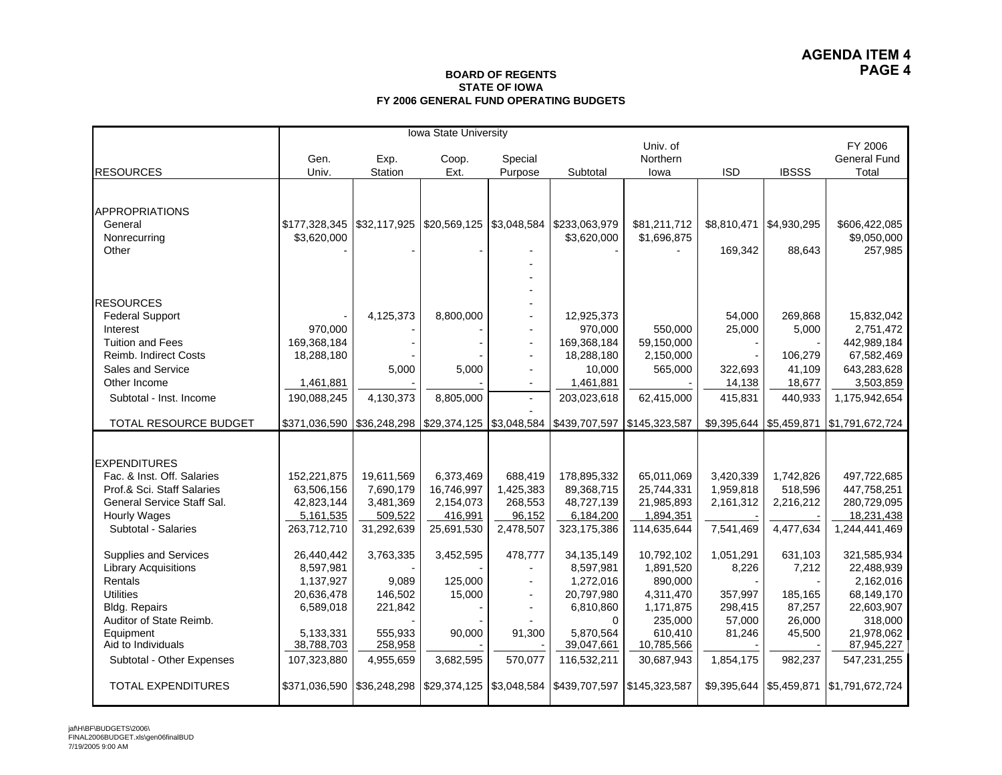### **BOARD OF REGENTS STATE OF IOWAFY 2006 GENERAL FUND OPERATING BUDGETS**

|                             | Iowa State University      |            |                          |                          |                                                            |               |                           |              |                     |
|-----------------------------|----------------------------|------------|--------------------------|--------------------------|------------------------------------------------------------|---------------|---------------------------|--------------|---------------------|
|                             | Univ. of                   |            |                          |                          |                                                            |               |                           | FY 2006      |                     |
|                             | Gen.                       | Exp.       | Coop.                    | Special                  |                                                            | Northern      |                           |              | <b>General Fund</b> |
| <b>RESOURCES</b>            | Univ.                      | Station    | Ext.                     | Purpose                  | Subtotal                                                   | lowa          | <b>ISD</b>                | <b>IBSSS</b> | Total               |
|                             |                            |            |                          |                          |                                                            |               |                           |              |                     |
| <b>APPROPRIATIONS</b>       |                            |            |                          |                          |                                                            |               |                           |              |                     |
| General                     |                            |            | \$20,569,125             | \$3,048,584              | \$233,063,979                                              | \$81,211,712  | \$8,810,471               | \$4,930,295  | \$606,422,085       |
| Nonrecurring                | \$3,620,000                |            |                          |                          | \$3,620,000                                                | \$1,696,875   |                           |              | \$9,050,000         |
| Other                       |                            |            |                          |                          |                                                            |               | 169,342                   | 88,643       | 257,985             |
|                             |                            |            |                          |                          |                                                            |               |                           |              |                     |
|                             |                            |            |                          |                          |                                                            |               |                           |              |                     |
|                             |                            |            |                          |                          |                                                            |               |                           |              |                     |
| <b>RESOURCES</b>            |                            |            |                          |                          |                                                            |               |                           |              |                     |
| <b>Federal Support</b>      |                            | 4,125,373  | 8,800,000                |                          | 12,925,373                                                 |               | 54,000                    | 269,868      | 15,832,042          |
| Interest                    | 970,000                    |            |                          | $\blacksquare$           | 970,000                                                    | 550,000       | 25,000                    | 5,000        | 2,751,472           |
| <b>Tuition and Fees</b>     | 169,368,184                |            |                          | $\blacksquare$           | 169,368,184                                                | 59,150,000    |                           |              | 442,989,184         |
| Reimb. Indirect Costs       | 18,288,180                 |            |                          | $\overline{\phantom{a}}$ | 18,288,180                                                 | 2,150,000     |                           | 106,279      | 67,582,469          |
| Sales and Service           |                            | 5,000      | 5,000                    | $\blacksquare$           | 10,000                                                     | 565,000       | 322,693                   | 41,109       | 643,283,628         |
| Other Income                | 1.461.881                  |            |                          | $\overline{\phantom{a}}$ | 1,461,881                                                  |               | 14,138                    | 18,677       | 3,503,859           |
| Subtotal - Inst. Income     | 190,088,245                | 4,130,373  | 8,805,000                | $\blacksquare$           | 203,023,618                                                | 62,415,000    | 415,831                   | 440,933      | 1,175,942,654       |
|                             |                            |            |                          |                          |                                                            |               |                           |              |                     |
| TOTAL RESOURCE BUDGET       | \$371,036,590 \$36,248,298 |            | \$29,374,125 \$3,048,584 |                          | \$439,707,597                                              | \$145,323,587 | \$9,395,644   \$5,459,871 |              | \$1,791,672,724     |
|                             |                            |            |                          |                          |                                                            |               |                           |              |                     |
| <b>EXPENDITURES</b>         |                            |            |                          |                          |                                                            |               |                           |              |                     |
| Fac. & Inst. Off. Salaries  | 152,221,875                | 19,611,569 | 6,373,469                | 688,419                  | 178,895,332                                                | 65.011.069    | 3,420,339                 | 1,742,826    | 497,722,685         |
| Prof.& Sci. Staff Salaries  | 63,506,156                 | 7,690,179  | 16,746,997               | 1,425,383                | 89,368,715                                                 | 25,744,331    | 1,959,818                 | 518,596      | 447,758,251         |
| General Service Staff Sal.  | 42,823,144                 | 3,481,369  | 2,154,073                | 268,553                  | 48,727,139                                                 | 21,985,893    | 2,161,312                 | 2,216,212    | 280,729,095         |
| <b>Hourly Wages</b>         | 5, 161, 535                | 509,522    | 416,991                  | 96,152                   | 6,184,200                                                  | 1,894,351     |                           |              | 18,231,438          |
| Subtotal - Salaries         | 263,712,710                | 31,292,639 | 25,691,530               | 2,478,507                | 323,175,386                                                | 114,635,644   | 7,541,469                 | 4,477,634    | 1,244,441,469       |
| Supplies and Services       | 26,440,442                 | 3,763,335  | 3,452,595                | 478,777                  | 34,135,149                                                 | 10,792,102    | 1,051,291                 | 631,103      | 321,585,934         |
| <b>Library Acquisitions</b> | 8,597,981                  |            |                          |                          | 8,597,981                                                  | 1,891,520     | 8,226                     | 7,212        | 22,488,939          |
| Rentals                     | 1,137,927                  | 9,089      | 125,000                  |                          | 1,272,016                                                  | 890,000       |                           |              | 2,162,016           |
| <b>Utilities</b>            | 20,636,478                 | 146,502    | 15,000                   | $\blacksquare$           | 20,797,980                                                 | 4,311,470     | 357,997                   | 185,165      | 68,149,170          |
| <b>Bldg. Repairs</b>        | 6,589,018                  | 221,842    |                          | $\blacksquare$           | 6,810,860                                                  | 1,171,875     | 298,415                   | 87,257       | 22,603,907          |
| Auditor of State Reimb.     |                            |            |                          |                          | $\mathbf 0$                                                | 235,000       | 57,000                    | 26,000       | 318,000             |
| Equipment                   | 5,133,331                  | 555,933    | 90,000                   | 91,300                   | 5.870.564                                                  | 610,410       | 81,246                    | 45,500       | 21,978,062          |
| Aid to Individuals          | 38,788,703                 | 258,958    |                          |                          | 39,047,661                                                 | 10,785,566    |                           |              | 87,945,227          |
| Subtotal - Other Expenses   | 107,323,880                | 4,955,659  | 3,682,595                | 570,077                  | 116,532,211                                                | 30,687,943    | 1,854,175                 | 982,237      | 547,231,255         |
| <b>TOTAL EXPENDITURES</b>   | \$371,036,590 \$36,248,298 |            |                          |                          | \$29,374,125   \$3,048,584   \$439,707,597   \$145,323,587 |               | \$9,395,644 \$5,459,871   |              | \$1,791,672,724     |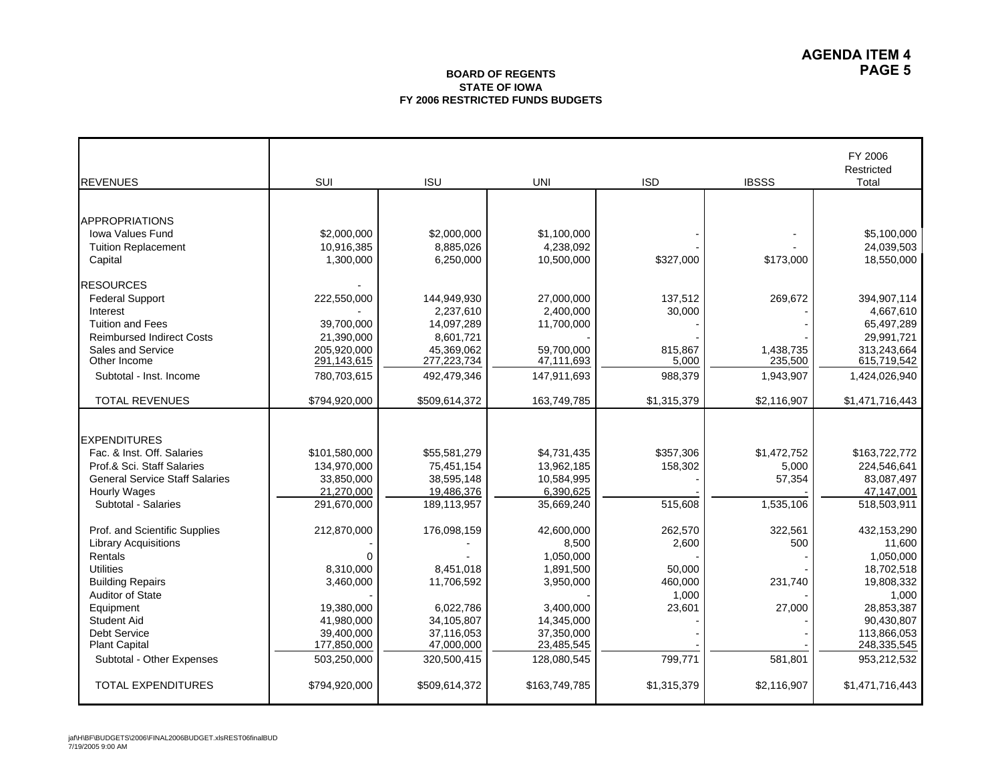## **BOARD OF REGENTSSTATE OF IOWAFY 2006 RESTRICTED FUNDS BUDGETS**

| <b>REVENUES</b>                       | SUI           | <b>ISU</b>    | <b>UNI</b>    | <b>ISD</b>  | <b>IBSSS</b> | FY 2006<br>Restricted<br>Total |
|---------------------------------------|---------------|---------------|---------------|-------------|--------------|--------------------------------|
|                                       |               |               |               |             |              |                                |
|                                       |               |               |               |             |              |                                |
| <b>APPROPRIATIONS</b>                 |               |               |               |             |              |                                |
| <b>Iowa Values Fund</b>               | \$2,000,000   | \$2,000,000   | \$1,100,000   |             |              | \$5,100,000<br>24,039,503      |
| <b>Tuition Replacement</b>            | 10,916,385    | 8,885,026     | 4,238,092     |             |              |                                |
| Capital                               | 1,300,000     | 6,250,000     | 10,500,000    | \$327,000   | \$173,000    | 18,550,000                     |
| <b>RESOURCES</b>                      |               |               |               |             |              |                                |
| <b>Federal Support</b>                | 222,550,000   | 144,949,930   | 27,000,000    | 137,512     | 269.672      | 394,907,114                    |
| Interest                              |               | 2,237,610     | 2,400,000     | 30,000      |              | 4,667,610                      |
| <b>Tuition and Fees</b>               | 39,700,000    | 14,097,289    | 11,700,000    |             |              | 65,497,289                     |
| <b>Reimbursed Indirect Costs</b>      | 21,390,000    | 8,601,721     |               |             |              | 29,991,721                     |
| Sales and Service                     | 205,920,000   | 45,369,062    | 59,700,000    | 815,867     | 1,438,735    | 313,243,664                    |
| Other Income                          | 291,143,615   | 277,223,734   | 47,111,693    | 5,000       | 235,500      | 615,719,542                    |
| Subtotal - Inst. Income               | 780,703,615   | 492,479,346   | 147,911,693   | 988,379     | 1,943,907    | 1,424,026,940                  |
| <b>TOTAL REVENUES</b>                 | \$794,920,000 | \$509,614,372 | 163,749,785   | \$1,315,379 | \$2,116,907  | \$1,471,716,443                |
|                                       |               |               |               |             |              |                                |
| <b>EXPENDITURES</b>                   |               |               |               |             |              |                                |
| Fac. & Inst. Off. Salaries            | \$101,580,000 | \$55,581,279  | \$4,731,435   | \$357,306   | \$1,472,752  | \$163,722,772                  |
| Prof.& Sci. Staff Salaries            | 134,970,000   | 75,451,154    | 13,962,185    | 158,302     | 5,000        | 224,546,641                    |
| <b>General Service Staff Salaries</b> | 33,850,000    | 38.595.148    | 10,584,995    |             | 57,354       | 83,087,497                     |
| <b>Hourly Wages</b>                   | 21,270,000    | 19,486,376    | 6.390.625     |             |              | 47,147,001                     |
| Subtotal - Salaries                   | 291,670,000   | 189,113,957   | 35,669,240    | 515,608     | 1,535,106    | 518,503,911                    |
| Prof. and Scientific Supplies         | 212,870,000   | 176,098,159   | 42,600,000    | 262,570     | 322,561      | 432,153,290                    |
| <b>Library Acquisitions</b>           |               |               | 8,500         | 2,600       | 500          | 11,600                         |
| Rentals                               | $\Omega$      |               | 1,050,000     |             |              | 1,050,000                      |
| <b>Utilities</b>                      | 8,310,000     | 8,451,018     | 1,891,500     | 50,000      |              | 18,702,518                     |
| <b>Building Repairs</b>               | 3,460,000     | 11,706,592    | 3,950,000     | 460,000     | 231,740      | 19,808,332                     |
| Auditor of State                      |               |               |               | 1,000       |              | 1,000                          |
| Equipment                             | 19,380,000    | 6,022,786     | 3,400,000     | 23,601      | 27,000       | 28,853,387                     |
| <b>Student Aid</b>                    | 41,980,000    | 34,105,807    | 14,345,000    |             |              | 90,430,807                     |
| Debt Service                          | 39,400,000    | 37,116,053    | 37,350,000    |             |              | 113,866,053                    |
| <b>Plant Capital</b>                  | 177,850,000   | 47,000,000    | 23,485,545    |             |              | 248,335,545                    |
| Subtotal - Other Expenses             | 503,250,000   | 320,500,415   | 128,080,545   | 799,771     | 581,801      | 953,212,532                    |
| <b>TOTAL EXPENDITURES</b>             | \$794,920,000 | \$509,614,372 | \$163,749,785 | \$1,315,379 | \$2,116,907  | \$1,471,716,443                |